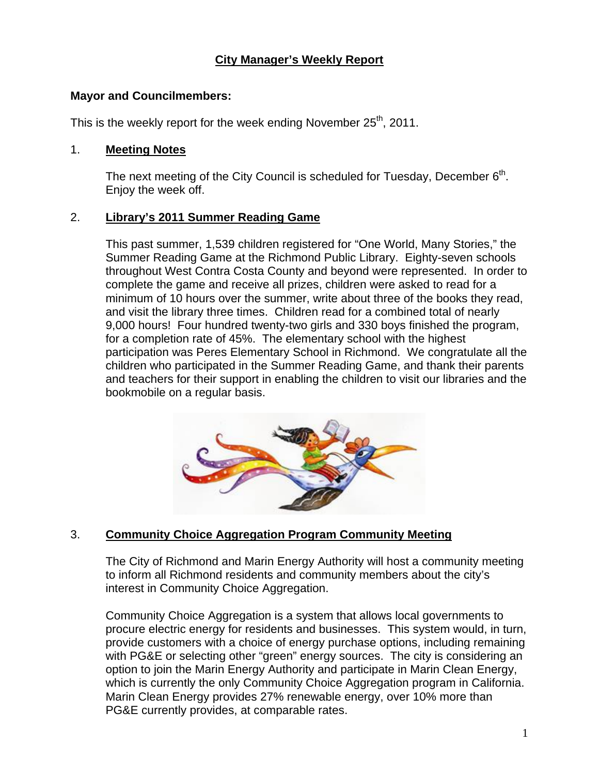# **City Manager's Weekly Report**

### **Mayor and Councilmembers:**

This is the weekly report for the week ending November  $25<sup>th</sup>$ , 2011.

#### 1. **Meeting Notes**

The next meeting of the City Council is scheduled for Tuesday, December  $6<sup>th</sup>$ . Enjoy the week off.

#### 2. **Library's 2011 Summer Reading Game**

This past summer, 1,539 children registered for "One World, Many Stories," the Summer Reading Game at the Richmond Public Library. Eighty-seven schools throughout West Contra Costa County and beyond were represented. In order to complete the game and receive all prizes, children were asked to read for a minimum of 10 hours over the summer, write about three of the books they read, and visit the library three times. Children read for a combined total of nearly 9,000 hours! Four hundred twenty-two girls and 330 boys finished the program, for a completion rate of 45%. The elementary school with the highest participation was Peres Elementary School in Richmond. We congratulate all the children who participated in the Summer Reading Game, and thank their parents and teachers for their support in enabling the children to visit our libraries and the bookmobile on a regular basis.



## 3. **Community Choice Aggregation Program Community Meeting**

The City of Richmond and Marin Energy Authority will host a community meeting to inform all Richmond residents and community members about the city's interest in Community Choice Aggregation.

Community Choice Aggregation is a system that allows local governments to procure electric energy for residents and businesses. This system would, in turn, provide customers with a choice of energy purchase options, including remaining with PG&E or selecting other "green" energy sources. The city is considering an option to join the Marin Energy Authority and participate in Marin Clean Energy, which is currently the only Community Choice Aggregation program in California. Marin Clean Energy provides 27% renewable energy, over 10% more than PG&E currently provides, at comparable rates.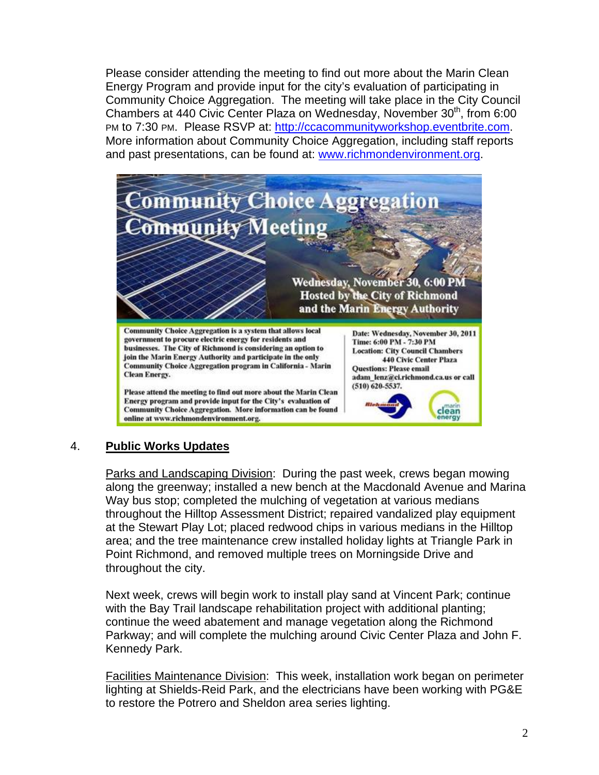Please consider attending the meeting to find out more about the Marin Clean Energy Program and provide input for the city's evaluation of participating in Community Choice Aggregation. The meeting will take place in the City Council Chambers at 440 Civic Center Plaza on Wednesday, November 30<sup>th</sup>, from 6:00 PM to 7:30 PM. Please RSVP at: http://ccacommunityworkshop.eventbrite.com. More information about Community Choice Aggregation, including staff reports and past presentations, can be found at: www.richmondenvironment.org.



## 4. **Public Works Updates**

Parks and Landscaping Division: During the past week, crews began mowing along the greenway; installed a new bench at the Macdonald Avenue and Marina Way bus stop; completed the mulching of vegetation at various medians throughout the Hilltop Assessment District; repaired vandalized play equipment at the Stewart Play Lot; placed redwood chips in various medians in the Hilltop area; and the tree maintenance crew installed holiday lights at Triangle Park in Point Richmond, and removed multiple trees on Morningside Drive and throughout the city.

Next week, crews will begin work to install play sand at Vincent Park; continue with the Bay Trail landscape rehabilitation project with additional planting; continue the weed abatement and manage vegetation along the Richmond Parkway; and will complete the mulching around Civic Center Plaza and John F. Kennedy Park.

Facilities Maintenance Division: This week, installation work began on perimeter lighting at Shields-Reid Park, and the electricians have been working with PG&E to restore the Potrero and Sheldon area series lighting.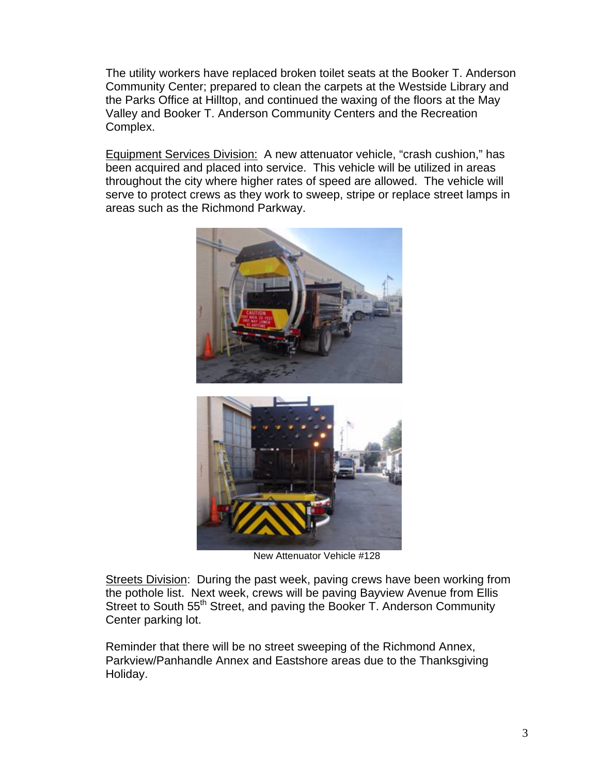The utility workers have replaced broken toilet seats at the Booker T. Anderson Community Center; prepared to clean the carpets at the Westside Library and the Parks Office at Hilltop, and continued the waxing of the floors at the May Valley and Booker T. Anderson Community Centers and the Recreation Complex.

Equipment Services Division: A new attenuator vehicle, "crash cushion," has been acquired and placed into service. This vehicle will be utilized in areas throughout the city where higher rates of speed are allowed. The vehicle will serve to protect crews as they work to sweep, stripe or replace street lamps in areas such as the Richmond Parkway.





New Attenuator Vehicle #128

Streets Division: During the past week, paving crews have been working from the pothole list. Next week, crews will be paving Bayview Avenue from Ellis Street to South 55<sup>th</sup> Street, and paving the Booker T. Anderson Community Center parking lot.

Reminder that there will be no street sweeping of the Richmond Annex, Parkview/Panhandle Annex and Eastshore areas due to the Thanksgiving Holiday.